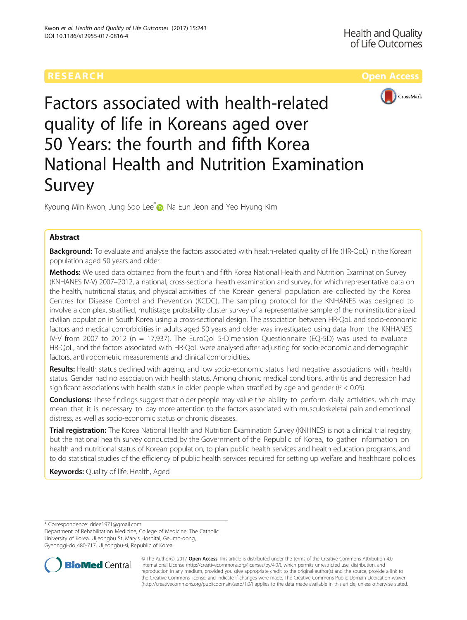# **RESEARCH CHILD CONTROL** CONTROL CONTROL CONTROL CONTROL CONTROL CONTROL CONTROL CONTROL CONTROL CONTROL CONTROL CONTROL CONTROL CONTROL CONTROL CONTROL CONTROL CONTROL CONTROL CONTROL CONTROL CONTROL CONTROL CONTROL CONTR



# Factors associated with health-related quality of life in Koreans aged over 50 Years: the fourth and fifth Korea National Health and Nutrition Examination Survey

Kyoung Min Kwon, Jung Soo Lee<sup>[\\*](http://orcid.org/0000-0002-3807-4377)</sup> <sub>1</sub>, Na Eun Jeon and Yeo Hyung Kim

# Abstract

Background: To evaluate and analyse the factors associated with health-related quality of life (HR-QoL) in the Korean population aged 50 years and older.

Methods: We used data obtained from the fourth and fifth Korea National Health and Nutrition Examination Survey (KNHANES IV-V) 2007–2012, a national, cross-sectional health examination and survey, for which representative data on the health, nutritional status, and physical activities of the Korean general population are collected by the Korea Centres for Disease Control and Prevention (KCDC). The sampling protocol for the KNHANES was designed to involve a complex, stratified, multistage probability cluster survey of a representative sample of the noninstitutionalized civilian population in South Korea using a cross-sectional design. The association between HR-QoL and socio-economic factors and medical comorbidities in adults aged 50 years and older was investigated using data from the KNHANES IV-V from 2007 to 2012 (n = 17,937). The EuroQol 5-Dimension Questionnaire (EQ-5D) was used to evaluate HR-QoL, and the factors associated with HR-QoL were analysed after adjusting for socio-economic and demographic factors, anthropometric measurements and clinical comorbidities.

Results: Health status declined with ageing, and low socio-economic status had negative associations with health status. Gender had no association with health status. Among chronic medical conditions, arthritis and depression had significant associations with health status in older people when stratified by age and gender ( $P < 0.05$ ).

Conclusions: These findings suggest that older people may value the ability to perform daily activities, which may mean that it is necessary to pay more attention to the factors associated with musculoskeletal pain and emotional distress, as well as socio-economic status or chronic diseases.

Trial registration: The Korea National Health and Nutrition Examination Survey (KNHNES) is not a clinical trial registry, but the national health survey conducted by the Government of the Republic of Korea, to gather information on health and nutritional status of Korean population, to plan public health services and health education programs, and to do statistical studies of the efficiency of public health services required for setting up welfare and healthcare policies.

**Keywords: Quality of life, Health, Aged** 

\* Correspondence: [drlee1971@gmail.com](mailto:drlee1971@gmail.com)

Department of Rehabilitation Medicine, College of Medicine, The Catholic University of Korea, Uijeongbu St. Mary's Hospital, Geumo-dong, Gyeonggi-do 480-717, Uijeongbu-si, Republic of Korea



© The Author(s). 2017 **Open Access** This article is distributed under the terms of the Creative Commons Attribution 4.0 International License [\(http://creativecommons.org/licenses/by/4.0/](http://creativecommons.org/licenses/by/4.0/)), which permits unrestricted use, distribution, and reproduction in any medium, provided you give appropriate credit to the original author(s) and the source, provide a link to the Creative Commons license, and indicate if changes were made. The Creative Commons Public Domain Dedication waiver [\(http://creativecommons.org/publicdomain/zero/1.0/](http://creativecommons.org/publicdomain/zero/1.0/)) applies to the data made available in this article, unless otherwise stated.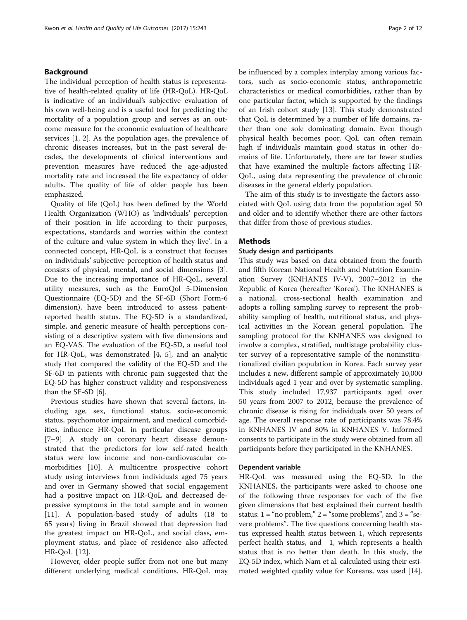# Background

The individual perception of health status is representative of health-related quality of life (HR-QoL). HR-QoL is indicative of an individual's subjective evaluation of his own well-being and is a useful tool for predicting the mortality of a population group and serves as an outcome measure for the economic evaluation of healthcare services [[1, 2](#page-10-0)]. As the population ages, the prevalence of chronic diseases increases, but in the past several decades, the developments of clinical interventions and prevention measures have reduced the age-adjusted mortality rate and increased the life expectancy of older adults. The quality of life of older people has been emphasized.

Quality of life (QoL) has been defined by the World Health Organization (WHO) as 'individuals' perception of their position in life according to their purposes, expectations, standards and worries within the context of the culture and value system in which they live'. In a connected concept, HR-QoL is a construct that focuses on individuals' subjective perception of health status and consists of physical, mental, and social dimensions [\[3](#page-10-0)]. Due to the increasing importance of HR-QoL, several utility measures, such as the EuroQol 5-Dimension Questionnaire (EQ-5D) and the SF-6D (Short Form-6 dimension), have been introduced to assess patientreported health status. The EQ-5D is a standardized, simple, and generic measure of health perceptions consisting of a descriptive system with five dimensions and an EQ-VAS. The evaluation of the EQ-5D, a useful tool for HR-QoL, was demonstrated [[4, 5](#page-10-0)], and an analytic study that compared the validity of the EQ-5D and the SF-6D in patients with chronic pain suggested that the EQ-5D has higher construct validity and responsiveness than the SF-6D [[6\]](#page-10-0).

Previous studies have shown that several factors, including age, sex, functional status, socio-economic status, psychomotor impairment, and medical comorbidities, influence HR-QoL in particular disease groups [[7](#page-10-0)–[9\]](#page-10-0). A study on coronary heart disease demonstrated that the predictors for low self-rated health status were low income and non-cardiovascular comorbidities [[10\]](#page-11-0). A multicentre prospective cohort study using interviews from individuals aged 75 years and over in Germany showed that social engagement had a positive impact on HR-QoL and decreased depressive symptoms in the total sample and in women [[11\]](#page-11-0). A population-based study of adults (18 to 65 years) living in Brazil showed that depression had the greatest impact on HR-QoL, and social class, employment status, and place of residence also affected HR-QoL [[12\]](#page-11-0).

However, older people suffer from not one but many different underlying medical conditions. HR-QoL may be influenced by a complex interplay among various factors, such as socio-economic status, anthropometric characteristics or medical comorbidities, rather than by one particular factor, which is supported by the findings of an Irish cohort study [\[13](#page-11-0)]. This study demonstrated that QoL is determined by a number of life domains, rather than one sole dominating domain. Even though physical health becomes poor, QoL can often remain high if individuals maintain good status in other domains of life. Unfortunately, there are far fewer studies that have examined the multiple factors affecting HR-QoL, using data representing the prevalence of chronic diseases in the general elderly population.

The aim of this study is to investigate the factors associated with QoL using data from the population aged 50 and older and to identify whether there are other factors that differ from those of previous studies.

# Methods

# Study design and participants

This study was based on data obtained from the fourth and fifth Korean National Health and Nutrition Examination Survey (KNHANES IV-V), 2007–2012 in the Republic of Korea (hereafter 'Korea'). The KNHANES is a national, cross-sectional health examination and adopts a rolling sampling survey to represent the probability sampling of health, nutritional status, and physical activities in the Korean general population. The sampling protocol for the KNHANES was designed to involve a complex, stratified, multistage probability cluster survey of a representative sample of the noninstitutionalized civilian population in Korea. Each survey year includes a new, different sample of approximately 10,000 individuals aged 1 year and over by systematic sampling. This study included 17,937 participants aged over 50 years from 2007 to 2012, because the prevalence of chronic disease is rising for individuals over 50 years of age. The overall response rate of participants was 78.4% in KNHANES IV and 80% in KNHANES V. Informed consents to participate in the study were obtained from all participants before they participated in the KNHANES.

# Dependent variable

HR-QoL was measured using the EQ-5D. In the KNHANES, the participants were asked to choose one of the following three responses for each of the five given dimensions that best explained their current health status:  $1 = \text{``no problem''}$  2 = "some problems", and  $3 = \text{``se-}$ vere problems". The five questions concerning health status expressed health status between 1, which represents perfect health status, and −1, which represents a health status that is no better than death. In this study, the EQ-5D index, which Nam et al. calculated using their estimated weighted quality value for Koreans, was used [[14](#page-11-0)].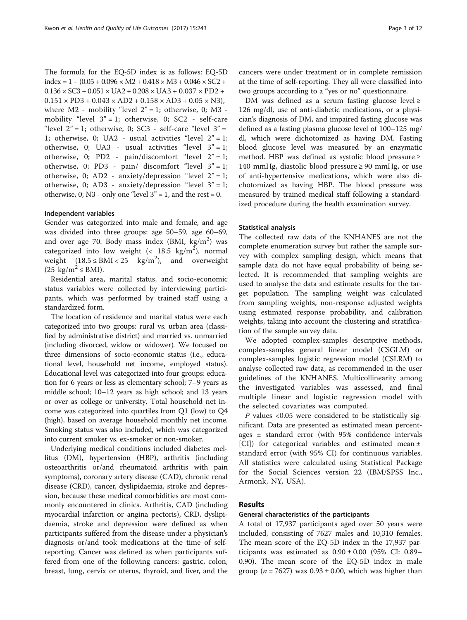The formula for the EQ-5D index is as follows: EQ-5D  $index = 1 - (0.05 + 0.096 \times M2 + 0.418 \times M3 + 0.046 \times SC2 +$  $0.136 \times SC3 + 0.051 \times UA2 + 0.208 \times UA3 + 0.037 \times PD2 +$  $0.151 \times PD3 + 0.043 \times AD2 + 0.158 \times AD3 + 0.05 \times N3$ where  $M2$  - mobility "level  $2" = 1$ ; otherwise, 0; M3 mobility "level  $3" = 1$ ; otherwise, 0; SC2 - self-care "level  $2" = 1$ ; otherwise, 0; SC3 - self-care "level  $3" =$ 1; otherwise, 0; UA2 - usual activities "level  $2" = 1$ ; otherwise, 0; UA3 - usual activities "level  $3" = 1$ ; otherwise, 0; PD2 - pain/discomfort "level 2" = 1; otherwise, 0; PD3 - pain/ discomfort "level 3" = 1; otherwise, 0; AD2 - anxiety/depression "level  $2" = 1$ ; otherwise, 0; AD3 - anxiety/depression "level  $3" = 1$ ; otherwise, 0; N3 - only one "level  $3" = 1$ , and the rest = 0.

# Independent variables

Gender was categorized into male and female, and age was divided into three groups: age 50–59, age 60–69, and over age 70. Body mass index (BMI,  $\text{kg/m}^2$ ) was categorized into low weight (<  $18.5 \text{ kg/m}^2$ ), normal weight  $(18.5 \leq BMI < 25 \text{ kg/m}^2)$ , and overweight  $(25 \text{ kg/m}^2 \leq \text{BMI})$ .

Residential area, marital status, and socio-economic status variables were collected by interviewing participants, which was performed by trained staff using a standardized form.

The location of residence and marital status were each categorized into two groups: rural vs. urban area (classified by administrative district) and married vs. unmarried (including divorced, widow or widower). We focused on three dimensions of socio-economic status (i.e., educational level, household net income, employed status). Educational level was categorized into four groups: education for 6 years or less as elementary school; 7–9 years as middle school; 10–12 years as high school; and 13 years or over as college or university. Total household net income was categorized into quartiles from Q1 (low) to Q4 (high), based on average household monthly net income. Smoking status was also included, which was categorized into current smoker vs. ex-smoker or non-smoker.

Underlying medical conditions included diabetes mellitus (DM), hypertension (HBP), arthritis (including osteoarthritis or/and rheumatoid arthritis with pain symptoms), coronary artery disease (CAD), chronic renal disease (CRD), cancer, dyslipidaemia, stroke and depression, because these medical comorbidities are most commonly encountered in clinics. Arthritis, CAD (including myocardial infarction or angina pectoris), CRD, dyslipidaemia, stroke and depression were defined as when participants suffered from the disease under a physician's diagnosis or/and took medications at the time of selfreporting. Cancer was defined as when participants suffered from one of the following cancers: gastric, colon, breast, lung, cervix or uterus, thyroid, and liver, and the cancers were under treatment or in complete remission at the time of self-reporting. They all were classified into two groups according to a "yes or no" questionnaire.

DM was defined as a serum fasting glucose level  $\geq$ 126 mg/dl, use of anti-diabetic medications, or a physician's diagnosis of DM, and impaired fasting glucose was defined as a fasting plasma glucose level of 100–125 mg/ dl, which were dichotomized as having DM. Fasting blood glucose level was measured by an enzymatic method. HBP was defined as systolic blood pressure ≥ 140 mmHg, diastolic blood pressure ≥ 90 mmHg, or use of anti-hypertensive medications, which were also dichotomized as having HBP. The blood pressure was measured by trained medical staff following a standardized procedure during the health examination survey.

### Statistical analysis

The collected raw data of the KNHANES are not the complete enumeration survey but rather the sample survey with complex sampling design, which means that sample data do not have equal probability of being selected. It is recommended that sampling weights are used to analyse the data and estimate results for the target population. The sampling weight was calculated from sampling weights, non-response adjusted weights using estimated response probability, and calibration weights, taking into account the clustering and stratification of the sample survey data.

We adopted complex-samples descriptive methods, complex-samples general linear model (CSGLM) or complex-samples logistic regression model (CSLRM) to analyse collected raw data, as recommended in the user guidelines of the KNHANES. Multicollinearity among the investigated variables was assessed, and final multiple linear and logistic regression model with the selected covariates was computed.

 $P$  values <0.05 were considered to be statistically significant. Data are presented as estimated mean percentages ± standard error (with 95% confidence intervals [CI]) for categorical variables and estimated mean ± standard error (with 95% CI) for continuous variables. All statistics were calculated using Statistical Package for the Social Sciences version 22 (IBM/SPSS Inc., Armonk, NY, USA).

# Results

# General characteristics of the participants

A total of 17,937 participants aged over 50 years were included, consisting of 7627 males and 10,310 females. The mean score of the EQ-5D index in the 17,937 participants was estimated as  $0.90 \pm 0.00$  (95% CI: 0.89– 0.90). The mean score of the EQ-5D index in male group ( $n = 7627$ ) was  $0.93 \pm 0.00$ , which was higher than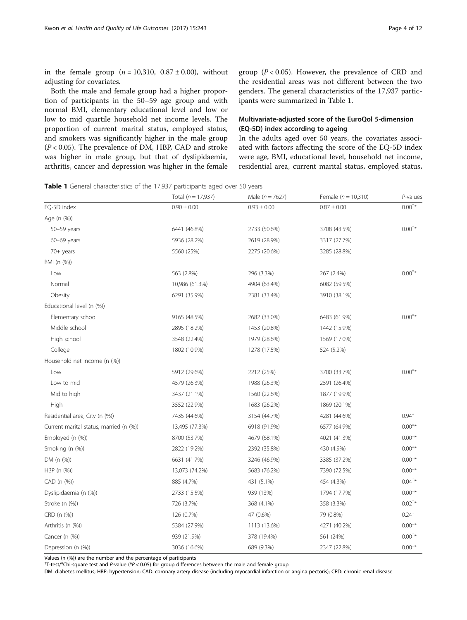in the female group  $(n = 10,310, 0.87 \pm 0.00)$ , without adjusting for covariates.

Both the male and female group had a higher proportion of participants in the 50–59 age group and with normal BMI, elementary educational level and low or low to mid quartile household net income levels. The proportion of current marital status, employed status, and smokers was significantly higher in the male group  $(P < 0.05)$ . The prevalence of DM, HBP, CAD and stroke was higher in male group, but that of dyslipidaemia, arthritis, cancer and depression was higher in the female group ( $P < 0.05$ ). However, the prevalence of CRD and the residential areas was not different between the two genders. The general characteristics of the 17,937 participants were summarized in Table 1.

# Multivariate-adjusted score of the EuroQol 5-dimension (EQ-5D) index according to ageing

In the adults aged over 50 years, the covariates associated with factors affecting the score of the EQ-5D index were age, BMI, educational level, household net income, residential area, current marital status, employed status,

| Table 1 General characteristics of the 17,937 participants aged over 50 years |  |  |  |  |
|-------------------------------------------------------------------------------|--|--|--|--|
|-------------------------------------------------------------------------------|--|--|--|--|

|                                         | Total $(n = 17,937)$ | Male ( $n = 7627$ ) | Female ( $n = 10,310$ ) | P-values                               |
|-----------------------------------------|----------------------|---------------------|-------------------------|----------------------------------------|
| EQ-5D index                             | $0.90 \pm 0.00$      | $0.93 \pm 0.00$     | $0.87 \pm 0.00$         | $0.00^{+*}$                            |
| Age (n (%))                             |                      |                     |                         |                                        |
| 50-59 years                             | 6441 (46.8%)         | 2733 (50.6%)        | 3708 (43.5%)            | $0.00^{+*}$                            |
| $60-69$ years                           | 5936 (28.2%)         | 2619 (28.9%)        | 3317 (27.7%)            |                                        |
| $70+$ years                             | 5560 (25%)           | 2275 (20.6%)        | 3285 (28.8%)            |                                        |
| BMI (n (%))                             |                      |                     |                         |                                        |
| Low                                     | 563 (2.8%)           | 296 (3.3%)          | 267 (2.4%)              | $0.00^{+*}$                            |
| Normal                                  | 10,986 (61.3%)       | 4904 (63.4%)        | 6082 (59.5%)            |                                        |
| Obesity                                 | 6291 (35.9%)         | 2381 (33.4%)        | 3910 (38.1%)            |                                        |
| Educational level (n (%))               |                      |                     |                         |                                        |
| Elementary school                       | 9165 (48.5%)         | 2682 (33.0%)        | 6483 (61.9%)            | $0.00^{+*}$                            |
| Middle school                           | 2895 (18.2%)         | 1453 (20.8%)        | 1442 (15.9%)            |                                        |
| High school                             | 3548 (22.4%)         | 1979 (28.6%)        | 1569 (17.0%)            |                                        |
| College                                 | 1802 (10.9%)         | 1278 (17.5%)        | 524 (5.2%)              |                                        |
| Household net income (n (%))            |                      |                     |                         |                                        |
| Low                                     | 5912 (29.6%)         | 2212 (25%)          | 3700 (33.7%)            | $0.00^{+*}$                            |
| Low to mid                              | 4579 (26.3%)         | 1988 (26.3%)        | 2591 (26.4%)            |                                        |
| Mid to high                             | 3437 (21.1%)         | 1560 (22.6%)        | 1877 (19.9%)            |                                        |
| High                                    | 3552 (22.9%)         | 1683 (26.2%)        | 1869 (20.1%)            |                                        |
| Residential area, City (n (%))          | 7435 (44.6%)         | 3154 (44.7%)        | 4281 (44.6%)            | $0.94$ <sup><math>\dagger</math></sup> |
| Current marital status, married (n (%)) | 13,495 (77.3%)       | 6918 (91.9%)        | 6577 (64.9%)            | $0.00^{+*}$                            |
| Employed (n (%))                        | 8700 (53.7%)         | 4679 (68.1%)        | 4021 (41.3%)            | $0.00^{+*}$                            |
| Smoking (n (%))                         | 2822 (19.2%)         | 2392 (35.8%)        | 430 (4.9%)              | $0.00^{**}$                            |
| DM (n (%))                              | 6631 (41.7%)         | 3246 (46.9%)        | 3385 (37.2%)            | $0.00^{+*}$                            |
| HBP (n (%))                             | 13,073 (74.2%)       | 5683 (76.2%)        | 7390 (72.5%)            | $0.00^{+*}$                            |
| CAD (n (%))                             | 885 (4.7%)           | 431 (5.1%)          | 454 (4.3%)              | $0.04^{+*}$                            |
| Dyslipidaemia (n (%))                   | 2733 (15.5%)         | 939 (13%)           | 1794 (17.7%)            | $0.00^{+*}$                            |
| Stroke (n (%))                          | 726 (3.7%)           | 368 (4.1%)          | 358 (3.3%)              | $0.02^{+*}$                            |
| CRD (n (%))                             | 126 (0.7%)           | 47 (0.6%)           | 79 (0.8%)               | $0.24^{+}$                             |
| Arthritis (n (%))                       | 5384 (27.9%)         | 1113 (13.6%)        | 4271 (40.2%)            | $0.00^{+*}$                            |
| Cancer (n (%))                          | 939 (21.9%)          | 378 (19.4%)         | 561 (24%)               | $0.00^{+*}$                            |
| Depression (n (%))                      | 3036 (16.6%)         | 689 (9.3%)          | 2347 (22.8%)            | $0.00^{+*}$                            |

Values (n (%)) are the number and the percentage of participants

<sup>†</sup>T-test/<sup>†</sup>Chi-square test and P-value (\*P < 0.05) for group differences between the male and female group

DM: diabetes mellitus; HBP: hypertension; CAD: coronary artery disease (including myocardial infarction or angina pectoris); CRD: chronic renal disease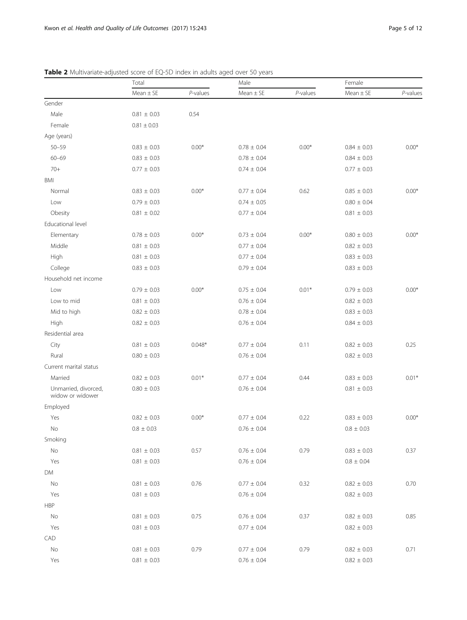| $P$ -values<br>$Mean \pm SE$<br>$P$ -values<br>$Mean \pm SE$<br>$Mean \pm SE$<br>Gender<br>Male<br>0.54<br>$0.81 \pm 0.03$<br>Female<br>$0.81 \pm 0.03$<br>Age (years)<br>$0.00*$<br>$0.00*$<br>$0.00*$<br>$50 - 59$<br>$0.84 \pm 0.03$<br>$0.83 \pm 0.03$<br>$0.78 \pm 0.04$<br>$60 - 69$<br>$0.83 \pm 0.03$<br>$0.78 \pm 0.04$<br>$0.84 \pm 0.03$<br>$70+$<br>$0.77 \pm 0.03$<br>$0.74 \pm 0.04$<br>$0.77 \pm 0.03$<br>BMI<br>Normal<br>$0.00*$<br>0.62<br>$0.00*$<br>$0.83 \pm 0.03$<br>$0.77 \pm 0.04$<br>$0.85 \pm 0.03$<br>$0.79 \pm 0.03$<br>$0.74 \pm 0.05$<br>$0.80 \pm 0.04$<br>Low<br>Obesity<br>$0.81 \pm 0.02$<br>$0.81 \pm 0.03$<br>$0.77 \pm 0.04$<br>Educational level<br>$0.00*$<br>$0.00*$<br>Elementary<br>$0.78\,\pm\,0.03$<br>$0.80 \pm 0.03$<br>$0.00*$<br>$0.73 \pm 0.04$<br>Middle<br>$0.81 \pm 0.03$<br>$0.77 \pm 0.04$<br>$0.82 \pm 0.03$<br>High<br>$0.81 \pm 0.03$<br>$0.77 \pm 0.04$<br>$0.83 \pm 0.03$<br>College<br>$0.83 \pm 0.03$<br>$0.79 \pm 0.04$<br>$0.83 \pm 0.03$<br>Household net income<br>$0.00*$<br>$0.01*$<br>$0.79 \pm 0.03$<br>$0.75 \pm 0.04$<br>$0.79 \pm 0.03$<br>$0.00*$<br>Low<br>Low to mid<br>$0.81 \pm 0.03$<br>$0.76 \pm 0.04$<br>$0.82 \pm 0.03$<br>Mid to high<br>$0.78 \pm 0.04$<br>$0.83 \pm 0.03$<br>$0.82 \pm 0.03$<br>High<br>$0.82 \pm 0.03$<br>$0.76 \pm 0.04$<br>$0.84 \pm 0.03$<br>Residential area<br>City<br>$0.048*$<br>0.11<br>0.25<br>$0.81 \pm 0.03$<br>$0.77 \pm 0.04$<br>$0.82 \pm 0.03$<br>Rural<br>$0.80 \pm 0.03$<br>$0.76 \pm 0.04$<br>$0.82 \pm 0.03$<br>Current marital status<br>$0.01*$<br>0.44<br>Married<br>$0.82 \pm 0.03$<br>$0.77 \pm 0.04$<br>$0.83 \pm 0.03$<br>$0.01*$<br>Unmarried, divorced,<br>$0.80 \pm 0.03$<br>$0.76 \pm 0.04$<br>$0.81 \pm 0.03$<br>widow or widower<br>Employed<br>0.22<br>Yes<br>$0.82 \pm 0.03$<br>$0.00*$<br>$0.77 \pm 0.04$<br>$0.83 \pm 0.03$<br>$0.00*$<br>No.<br>$0.8 \pm 0.03$<br>$0.76 \pm 0.04$<br>$0.8 \pm 0.03$<br>Smoking<br>$\mathsf{No}$<br>$0.81\,\pm\,0.03$<br>0.57<br>0.79<br>0.37<br>$0.76 \pm 0.04$<br>$0.83 \pm 0.03$<br>Yes<br>$0.81 \pm 0.03$<br>$0.76 \pm 0.04$<br>$0.8 \pm 0.04$<br>DM<br>No<br>0.76<br>0.32<br>0.70<br>$0.81 \pm 0.03$<br>$0.82 \pm 0.03$<br>$0.77 \pm 0.04$<br>Yes<br>$0.81 \pm 0.03$<br>$0.76 \pm 0.04$<br>$0.82 \pm 0.03$<br><b>HBP</b><br>$\mathsf{No}$<br>0.85<br>$0.81 \pm 0.03$<br>0.75<br>$0.76 \pm 0.04$<br>0.37<br>$0.82 \pm 0.03$<br>Yes<br>$0.81 \pm 0.03$<br>$0.77 \pm 0.04$<br>$0.82 \pm 0.03$<br>CAD<br>$\mathsf{No}$<br>0.71<br>$0.81 \pm 0.03$<br>0.79<br>$0.77 \pm 0.04$<br>0.79<br>$0.82 \pm 0.03$<br>Yes<br>$0.81\,\pm\,0.03$<br>$0.76 \pm 0.04$<br>$0.82 \pm 0.03$ | Total | Male |  | Female |          |
|-----------------------------------------------------------------------------------------------------------------------------------------------------------------------------------------------------------------------------------------------------------------------------------------------------------------------------------------------------------------------------------------------------------------------------------------------------------------------------------------------------------------------------------------------------------------------------------------------------------------------------------------------------------------------------------------------------------------------------------------------------------------------------------------------------------------------------------------------------------------------------------------------------------------------------------------------------------------------------------------------------------------------------------------------------------------------------------------------------------------------------------------------------------------------------------------------------------------------------------------------------------------------------------------------------------------------------------------------------------------------------------------------------------------------------------------------------------------------------------------------------------------------------------------------------------------------------------------------------------------------------------------------------------------------------------------------------------------------------------------------------------------------------------------------------------------------------------------------------------------------------------------------------------------------------------------------------------------------------------------------------------------------------------------------------------------------------------------------------------------------------------------------------------------------------------------------------------------------------------------------------------------------------------------------------------------------------------------------------------------------------------------------------------------------------------------------------------------------------------------------------------------------------------------------------------------------------------------------------------------------------------------------------|-------|------|--|--------|----------|
|                                                                                                                                                                                                                                                                                                                                                                                                                                                                                                                                                                                                                                                                                                                                                                                                                                                                                                                                                                                                                                                                                                                                                                                                                                                                                                                                                                                                                                                                                                                                                                                                                                                                                                                                                                                                                                                                                                                                                                                                                                                                                                                                                                                                                                                                                                                                                                                                                                                                                                                                                                                                                                                     |       |      |  |        | P-values |
|                                                                                                                                                                                                                                                                                                                                                                                                                                                                                                                                                                                                                                                                                                                                                                                                                                                                                                                                                                                                                                                                                                                                                                                                                                                                                                                                                                                                                                                                                                                                                                                                                                                                                                                                                                                                                                                                                                                                                                                                                                                                                                                                                                                                                                                                                                                                                                                                                                                                                                                                                                                                                                                     |       |      |  |        |          |
|                                                                                                                                                                                                                                                                                                                                                                                                                                                                                                                                                                                                                                                                                                                                                                                                                                                                                                                                                                                                                                                                                                                                                                                                                                                                                                                                                                                                                                                                                                                                                                                                                                                                                                                                                                                                                                                                                                                                                                                                                                                                                                                                                                                                                                                                                                                                                                                                                                                                                                                                                                                                                                                     |       |      |  |        |          |
|                                                                                                                                                                                                                                                                                                                                                                                                                                                                                                                                                                                                                                                                                                                                                                                                                                                                                                                                                                                                                                                                                                                                                                                                                                                                                                                                                                                                                                                                                                                                                                                                                                                                                                                                                                                                                                                                                                                                                                                                                                                                                                                                                                                                                                                                                                                                                                                                                                                                                                                                                                                                                                                     |       |      |  |        |          |
|                                                                                                                                                                                                                                                                                                                                                                                                                                                                                                                                                                                                                                                                                                                                                                                                                                                                                                                                                                                                                                                                                                                                                                                                                                                                                                                                                                                                                                                                                                                                                                                                                                                                                                                                                                                                                                                                                                                                                                                                                                                                                                                                                                                                                                                                                                                                                                                                                                                                                                                                                                                                                                                     |       |      |  |        |          |
|                                                                                                                                                                                                                                                                                                                                                                                                                                                                                                                                                                                                                                                                                                                                                                                                                                                                                                                                                                                                                                                                                                                                                                                                                                                                                                                                                                                                                                                                                                                                                                                                                                                                                                                                                                                                                                                                                                                                                                                                                                                                                                                                                                                                                                                                                                                                                                                                                                                                                                                                                                                                                                                     |       |      |  |        |          |
|                                                                                                                                                                                                                                                                                                                                                                                                                                                                                                                                                                                                                                                                                                                                                                                                                                                                                                                                                                                                                                                                                                                                                                                                                                                                                                                                                                                                                                                                                                                                                                                                                                                                                                                                                                                                                                                                                                                                                                                                                                                                                                                                                                                                                                                                                                                                                                                                                                                                                                                                                                                                                                                     |       |      |  |        |          |
|                                                                                                                                                                                                                                                                                                                                                                                                                                                                                                                                                                                                                                                                                                                                                                                                                                                                                                                                                                                                                                                                                                                                                                                                                                                                                                                                                                                                                                                                                                                                                                                                                                                                                                                                                                                                                                                                                                                                                                                                                                                                                                                                                                                                                                                                                                                                                                                                                                                                                                                                                                                                                                                     |       |      |  |        |          |
|                                                                                                                                                                                                                                                                                                                                                                                                                                                                                                                                                                                                                                                                                                                                                                                                                                                                                                                                                                                                                                                                                                                                                                                                                                                                                                                                                                                                                                                                                                                                                                                                                                                                                                                                                                                                                                                                                                                                                                                                                                                                                                                                                                                                                                                                                                                                                                                                                                                                                                                                                                                                                                                     |       |      |  |        |          |
|                                                                                                                                                                                                                                                                                                                                                                                                                                                                                                                                                                                                                                                                                                                                                                                                                                                                                                                                                                                                                                                                                                                                                                                                                                                                                                                                                                                                                                                                                                                                                                                                                                                                                                                                                                                                                                                                                                                                                                                                                                                                                                                                                                                                                                                                                                                                                                                                                                                                                                                                                                                                                                                     |       |      |  |        |          |
|                                                                                                                                                                                                                                                                                                                                                                                                                                                                                                                                                                                                                                                                                                                                                                                                                                                                                                                                                                                                                                                                                                                                                                                                                                                                                                                                                                                                                                                                                                                                                                                                                                                                                                                                                                                                                                                                                                                                                                                                                                                                                                                                                                                                                                                                                                                                                                                                                                                                                                                                                                                                                                                     |       |      |  |        |          |
|                                                                                                                                                                                                                                                                                                                                                                                                                                                                                                                                                                                                                                                                                                                                                                                                                                                                                                                                                                                                                                                                                                                                                                                                                                                                                                                                                                                                                                                                                                                                                                                                                                                                                                                                                                                                                                                                                                                                                                                                                                                                                                                                                                                                                                                                                                                                                                                                                                                                                                                                                                                                                                                     |       |      |  |        |          |
|                                                                                                                                                                                                                                                                                                                                                                                                                                                                                                                                                                                                                                                                                                                                                                                                                                                                                                                                                                                                                                                                                                                                                                                                                                                                                                                                                                                                                                                                                                                                                                                                                                                                                                                                                                                                                                                                                                                                                                                                                                                                                                                                                                                                                                                                                                                                                                                                                                                                                                                                                                                                                                                     |       |      |  |        |          |
|                                                                                                                                                                                                                                                                                                                                                                                                                                                                                                                                                                                                                                                                                                                                                                                                                                                                                                                                                                                                                                                                                                                                                                                                                                                                                                                                                                                                                                                                                                                                                                                                                                                                                                                                                                                                                                                                                                                                                                                                                                                                                                                                                                                                                                                                                                                                                                                                                                                                                                                                                                                                                                                     |       |      |  |        |          |
|                                                                                                                                                                                                                                                                                                                                                                                                                                                                                                                                                                                                                                                                                                                                                                                                                                                                                                                                                                                                                                                                                                                                                                                                                                                                                                                                                                                                                                                                                                                                                                                                                                                                                                                                                                                                                                                                                                                                                                                                                                                                                                                                                                                                                                                                                                                                                                                                                                                                                                                                                                                                                                                     |       |      |  |        |          |
|                                                                                                                                                                                                                                                                                                                                                                                                                                                                                                                                                                                                                                                                                                                                                                                                                                                                                                                                                                                                                                                                                                                                                                                                                                                                                                                                                                                                                                                                                                                                                                                                                                                                                                                                                                                                                                                                                                                                                                                                                                                                                                                                                                                                                                                                                                                                                                                                                                                                                                                                                                                                                                                     |       |      |  |        |          |
|                                                                                                                                                                                                                                                                                                                                                                                                                                                                                                                                                                                                                                                                                                                                                                                                                                                                                                                                                                                                                                                                                                                                                                                                                                                                                                                                                                                                                                                                                                                                                                                                                                                                                                                                                                                                                                                                                                                                                                                                                                                                                                                                                                                                                                                                                                                                                                                                                                                                                                                                                                                                                                                     |       |      |  |        |          |
|                                                                                                                                                                                                                                                                                                                                                                                                                                                                                                                                                                                                                                                                                                                                                                                                                                                                                                                                                                                                                                                                                                                                                                                                                                                                                                                                                                                                                                                                                                                                                                                                                                                                                                                                                                                                                                                                                                                                                                                                                                                                                                                                                                                                                                                                                                                                                                                                                                                                                                                                                                                                                                                     |       |      |  |        |          |
|                                                                                                                                                                                                                                                                                                                                                                                                                                                                                                                                                                                                                                                                                                                                                                                                                                                                                                                                                                                                                                                                                                                                                                                                                                                                                                                                                                                                                                                                                                                                                                                                                                                                                                                                                                                                                                                                                                                                                                                                                                                                                                                                                                                                                                                                                                                                                                                                                                                                                                                                                                                                                                                     |       |      |  |        |          |
|                                                                                                                                                                                                                                                                                                                                                                                                                                                                                                                                                                                                                                                                                                                                                                                                                                                                                                                                                                                                                                                                                                                                                                                                                                                                                                                                                                                                                                                                                                                                                                                                                                                                                                                                                                                                                                                                                                                                                                                                                                                                                                                                                                                                                                                                                                                                                                                                                                                                                                                                                                                                                                                     |       |      |  |        |          |
|                                                                                                                                                                                                                                                                                                                                                                                                                                                                                                                                                                                                                                                                                                                                                                                                                                                                                                                                                                                                                                                                                                                                                                                                                                                                                                                                                                                                                                                                                                                                                                                                                                                                                                                                                                                                                                                                                                                                                                                                                                                                                                                                                                                                                                                                                                                                                                                                                                                                                                                                                                                                                                                     |       |      |  |        |          |
|                                                                                                                                                                                                                                                                                                                                                                                                                                                                                                                                                                                                                                                                                                                                                                                                                                                                                                                                                                                                                                                                                                                                                                                                                                                                                                                                                                                                                                                                                                                                                                                                                                                                                                                                                                                                                                                                                                                                                                                                                                                                                                                                                                                                                                                                                                                                                                                                                                                                                                                                                                                                                                                     |       |      |  |        |          |
|                                                                                                                                                                                                                                                                                                                                                                                                                                                                                                                                                                                                                                                                                                                                                                                                                                                                                                                                                                                                                                                                                                                                                                                                                                                                                                                                                                                                                                                                                                                                                                                                                                                                                                                                                                                                                                                                                                                                                                                                                                                                                                                                                                                                                                                                                                                                                                                                                                                                                                                                                                                                                                                     |       |      |  |        |          |
|                                                                                                                                                                                                                                                                                                                                                                                                                                                                                                                                                                                                                                                                                                                                                                                                                                                                                                                                                                                                                                                                                                                                                                                                                                                                                                                                                                                                                                                                                                                                                                                                                                                                                                                                                                                                                                                                                                                                                                                                                                                                                                                                                                                                                                                                                                                                                                                                                                                                                                                                                                                                                                                     |       |      |  |        |          |
|                                                                                                                                                                                                                                                                                                                                                                                                                                                                                                                                                                                                                                                                                                                                                                                                                                                                                                                                                                                                                                                                                                                                                                                                                                                                                                                                                                                                                                                                                                                                                                                                                                                                                                                                                                                                                                                                                                                                                                                                                                                                                                                                                                                                                                                                                                                                                                                                                                                                                                                                                                                                                                                     |       |      |  |        |          |
|                                                                                                                                                                                                                                                                                                                                                                                                                                                                                                                                                                                                                                                                                                                                                                                                                                                                                                                                                                                                                                                                                                                                                                                                                                                                                                                                                                                                                                                                                                                                                                                                                                                                                                                                                                                                                                                                                                                                                                                                                                                                                                                                                                                                                                                                                                                                                                                                                                                                                                                                                                                                                                                     |       |      |  |        |          |
|                                                                                                                                                                                                                                                                                                                                                                                                                                                                                                                                                                                                                                                                                                                                                                                                                                                                                                                                                                                                                                                                                                                                                                                                                                                                                                                                                                                                                                                                                                                                                                                                                                                                                                                                                                                                                                                                                                                                                                                                                                                                                                                                                                                                                                                                                                                                                                                                                                                                                                                                                                                                                                                     |       |      |  |        |          |
|                                                                                                                                                                                                                                                                                                                                                                                                                                                                                                                                                                                                                                                                                                                                                                                                                                                                                                                                                                                                                                                                                                                                                                                                                                                                                                                                                                                                                                                                                                                                                                                                                                                                                                                                                                                                                                                                                                                                                                                                                                                                                                                                                                                                                                                                                                                                                                                                                                                                                                                                                                                                                                                     |       |      |  |        |          |
|                                                                                                                                                                                                                                                                                                                                                                                                                                                                                                                                                                                                                                                                                                                                                                                                                                                                                                                                                                                                                                                                                                                                                                                                                                                                                                                                                                                                                                                                                                                                                                                                                                                                                                                                                                                                                                                                                                                                                                                                                                                                                                                                                                                                                                                                                                                                                                                                                                                                                                                                                                                                                                                     |       |      |  |        |          |
|                                                                                                                                                                                                                                                                                                                                                                                                                                                                                                                                                                                                                                                                                                                                                                                                                                                                                                                                                                                                                                                                                                                                                                                                                                                                                                                                                                                                                                                                                                                                                                                                                                                                                                                                                                                                                                                                                                                                                                                                                                                                                                                                                                                                                                                                                                                                                                                                                                                                                                                                                                                                                                                     |       |      |  |        |          |
|                                                                                                                                                                                                                                                                                                                                                                                                                                                                                                                                                                                                                                                                                                                                                                                                                                                                                                                                                                                                                                                                                                                                                                                                                                                                                                                                                                                                                                                                                                                                                                                                                                                                                                                                                                                                                                                                                                                                                                                                                                                                                                                                                                                                                                                                                                                                                                                                                                                                                                                                                                                                                                                     |       |      |  |        |          |
|                                                                                                                                                                                                                                                                                                                                                                                                                                                                                                                                                                                                                                                                                                                                                                                                                                                                                                                                                                                                                                                                                                                                                                                                                                                                                                                                                                                                                                                                                                                                                                                                                                                                                                                                                                                                                                                                                                                                                                                                                                                                                                                                                                                                                                                                                                                                                                                                                                                                                                                                                                                                                                                     |       |      |  |        |          |
|                                                                                                                                                                                                                                                                                                                                                                                                                                                                                                                                                                                                                                                                                                                                                                                                                                                                                                                                                                                                                                                                                                                                                                                                                                                                                                                                                                                                                                                                                                                                                                                                                                                                                                                                                                                                                                                                                                                                                                                                                                                                                                                                                                                                                                                                                                                                                                                                                                                                                                                                                                                                                                                     |       |      |  |        |          |
|                                                                                                                                                                                                                                                                                                                                                                                                                                                                                                                                                                                                                                                                                                                                                                                                                                                                                                                                                                                                                                                                                                                                                                                                                                                                                                                                                                                                                                                                                                                                                                                                                                                                                                                                                                                                                                                                                                                                                                                                                                                                                                                                                                                                                                                                                                                                                                                                                                                                                                                                                                                                                                                     |       |      |  |        |          |
|                                                                                                                                                                                                                                                                                                                                                                                                                                                                                                                                                                                                                                                                                                                                                                                                                                                                                                                                                                                                                                                                                                                                                                                                                                                                                                                                                                                                                                                                                                                                                                                                                                                                                                                                                                                                                                                                                                                                                                                                                                                                                                                                                                                                                                                                                                                                                                                                                                                                                                                                                                                                                                                     |       |      |  |        |          |
|                                                                                                                                                                                                                                                                                                                                                                                                                                                                                                                                                                                                                                                                                                                                                                                                                                                                                                                                                                                                                                                                                                                                                                                                                                                                                                                                                                                                                                                                                                                                                                                                                                                                                                                                                                                                                                                                                                                                                                                                                                                                                                                                                                                                                                                                                                                                                                                                                                                                                                                                                                                                                                                     |       |      |  |        |          |
|                                                                                                                                                                                                                                                                                                                                                                                                                                                                                                                                                                                                                                                                                                                                                                                                                                                                                                                                                                                                                                                                                                                                                                                                                                                                                                                                                                                                                                                                                                                                                                                                                                                                                                                                                                                                                                                                                                                                                                                                                                                                                                                                                                                                                                                                                                                                                                                                                                                                                                                                                                                                                                                     |       |      |  |        |          |
|                                                                                                                                                                                                                                                                                                                                                                                                                                                                                                                                                                                                                                                                                                                                                                                                                                                                                                                                                                                                                                                                                                                                                                                                                                                                                                                                                                                                                                                                                                                                                                                                                                                                                                                                                                                                                                                                                                                                                                                                                                                                                                                                                                                                                                                                                                                                                                                                                                                                                                                                                                                                                                                     |       |      |  |        |          |
|                                                                                                                                                                                                                                                                                                                                                                                                                                                                                                                                                                                                                                                                                                                                                                                                                                                                                                                                                                                                                                                                                                                                                                                                                                                                                                                                                                                                                                                                                                                                                                                                                                                                                                                                                                                                                                                                                                                                                                                                                                                                                                                                                                                                                                                                                                                                                                                                                                                                                                                                                                                                                                                     |       |      |  |        |          |
|                                                                                                                                                                                                                                                                                                                                                                                                                                                                                                                                                                                                                                                                                                                                                                                                                                                                                                                                                                                                                                                                                                                                                                                                                                                                                                                                                                                                                                                                                                                                                                                                                                                                                                                                                                                                                                                                                                                                                                                                                                                                                                                                                                                                                                                                                                                                                                                                                                                                                                                                                                                                                                                     |       |      |  |        |          |
|                                                                                                                                                                                                                                                                                                                                                                                                                                                                                                                                                                                                                                                                                                                                                                                                                                                                                                                                                                                                                                                                                                                                                                                                                                                                                                                                                                                                                                                                                                                                                                                                                                                                                                                                                                                                                                                                                                                                                                                                                                                                                                                                                                                                                                                                                                                                                                                                                                                                                                                                                                                                                                                     |       |      |  |        |          |
|                                                                                                                                                                                                                                                                                                                                                                                                                                                                                                                                                                                                                                                                                                                                                                                                                                                                                                                                                                                                                                                                                                                                                                                                                                                                                                                                                                                                                                                                                                                                                                                                                                                                                                                                                                                                                                                                                                                                                                                                                                                                                                                                                                                                                                                                                                                                                                                                                                                                                                                                                                                                                                                     |       |      |  |        |          |
|                                                                                                                                                                                                                                                                                                                                                                                                                                                                                                                                                                                                                                                                                                                                                                                                                                                                                                                                                                                                                                                                                                                                                                                                                                                                                                                                                                                                                                                                                                                                                                                                                                                                                                                                                                                                                                                                                                                                                                                                                                                                                                                                                                                                                                                                                                                                                                                                                                                                                                                                                                                                                                                     |       |      |  |        |          |

# <span id="page-4-0"></span>Table 2 Multivariate-adjusted score of EQ-5D index in adults aged over 50 years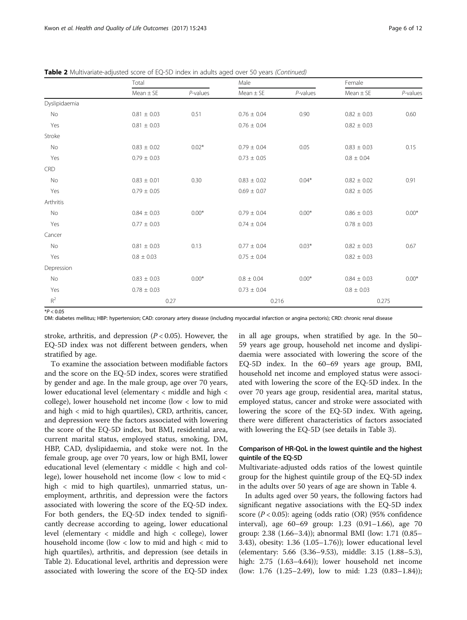|                | Total           |             | Male            |             | Female          |             |
|----------------|-----------------|-------------|-----------------|-------------|-----------------|-------------|
|                | $Mean \pm SE$   | $P$ -values | $Mean \pm SE$   | $P$ -values | $Mean \pm SE$   | $P$ -values |
| Dyslipidaemia  |                 |             |                 |             |                 |             |
| <b>No</b>      | $0.81 \pm 0.03$ | 0.51        | $0.76 \pm 0.04$ | 0.90        | $0.82 \pm 0.03$ | 0.60        |
| Yes            | $0.81 \pm 0.03$ |             | $0.76 \pm 0.04$ |             | $0.82 \pm 0.03$ |             |
| Stroke         |                 |             |                 |             |                 |             |
| No             | $0.83 \pm 0.02$ | $0.02*$     | $0.79 \pm 0.04$ | 0.05        | $0.83 \pm 0.03$ | 0.15        |
| Yes            | $0.79 \pm 0.03$ |             | $0.73 \pm 0.05$ |             | $0.8 \pm 0.04$  |             |
| <b>CRD</b>     |                 |             |                 |             |                 |             |
| No             | $0.83 \pm 0.01$ | 0.30        | $0.83 \pm 0.02$ | $0.04*$     | $0.82 \pm 0.02$ | 0.91        |
| Yes            | $0.79 \pm 0.05$ |             | $0.69 \pm 0.07$ |             | $0.82 \pm 0.05$ |             |
| Arthritis      |                 |             |                 |             |                 |             |
| <b>No</b>      | $0.84 \pm 0.03$ | $0.00*$     | $0.79 \pm 0.04$ | $0.00*$     | $0.86 \pm 0.03$ | $0.00*$     |
| Yes            | $0.77 \pm 0.03$ |             | $0.74 \pm 0.04$ |             | $0.78 \pm 0.03$ |             |
| Cancer         |                 |             |                 |             |                 |             |
| No             | $0.81 \pm 0.03$ | 0.13        | $0.77 \pm 0.04$ | $0.03*$     | $0.82 \pm 0.03$ | 0.67        |
| Yes            | $0.8 \pm 0.03$  |             | $0.75 \pm 0.04$ |             | $0.82 \pm 0.03$ |             |
| Depression     |                 |             |                 |             |                 |             |
| No             | $0.83 \pm 0.03$ | $0.00*$     | $0.8 \pm 0.04$  | $0.00*$     | $0.84 \pm 0.03$ | $0.00*$     |
| Yes            | $0.78 \pm 0.03$ |             | $0.73 \pm 0.04$ |             | $0.8 \pm 0.03$  |             |
| $\mathsf{R}^2$ | 0.27            |             | 0.216           |             | 0.275           |             |

Table 2 Multivariate-adjusted score of EQ-5D index in adults aged over 50 years (Continued)

 $*P < 0.05$ 

DM: diabetes mellitus; HBP: hypertension; CAD: coronary artery disease (including myocardial infarction or angina pectoris); CRD: chronic renal disease

stroke, arthritis, and depression ( $P < 0.05$ ). However, the EQ-5D index was not different between genders, when stratified by age.

To examine the association between modifiable factors and the score on the EQ-5D index, scores were stratified by gender and age. In the male group, age over 70 years, lower educational level (elementary < middle and high < college), lower household net income (low < low to mid and high < mid to high quartiles), CRD, arthritis, cancer, and depression were the factors associated with lowering the score of the EQ-5D index, but BMI, residential area, current marital status, employed status, smoking, DM, HBP, CAD, dyslipidaemia, and stoke were not. In the female group, age over 70 years, low or high BMI, lower educational level (elementary < middle < high and college), lower household net income (low  $\lt$  low to mid  $\lt$ high < mid to high quartiles), unmarried status, unemployment, arthritis, and depression were the factors associated with lowering the score of the EQ-5D index. For both genders, the EQ-5D index tended to significantly decrease according to ageing, lower educational level (elementary < middle and high < college), lower household income (low < low to mid and high < mid to high quartiles), arthritis, and depression (see details in Table [2\)](#page-4-0). Educational level, arthritis and depression were associated with lowering the score of the EQ-5D index

in all age groups, when stratified by age. In the 50– 59 years age group, household net income and dyslipidaemia were associated with lowering the score of the EQ-5D index. In the 60–69 years age group, BMI, household net income and employed status were associated with lowering the score of the EQ-5D index. In the over 70 years age group, residential area, marital status, employed status, cancer and stroke were associated with lowering the score of the EQ-5D index. With ageing, there were different characteristics of factors associated with lowering the EQ-5D (see details in Table [3\)](#page-6-0).

# Comparison of HR-QoL in the lowest quintile and the highest quintile of the EQ-5D

Multivariate-adjusted odds ratios of the lowest quintile group for the highest quintile group of the EQ-5D index in the adults over 50 years of age are shown in Table [4.](#page-8-0)

In adults aged over 50 years, the following factors had significant negative associations with the EQ-5D index score ( $P < 0.05$ ): ageing (odds ratio (OR) (95% confidence interval), age 60–69 group: 1.23 (0.91–1.66), age 70 group: 2.38 (1.66–3.4)); abnormal BMI (low: 1.71 (0.85– 3.43), obesity: 1.36 (1.05–1.76)); lower educational level (elementary: 5.66 (3.36–9.53), middle: 3.15 (1.88–5.3), high: 2.75 (1.63–4.64)); lower household net income (low: 1.76 (1.25–2.49), low to mid: 1.23 (0.83–1.84));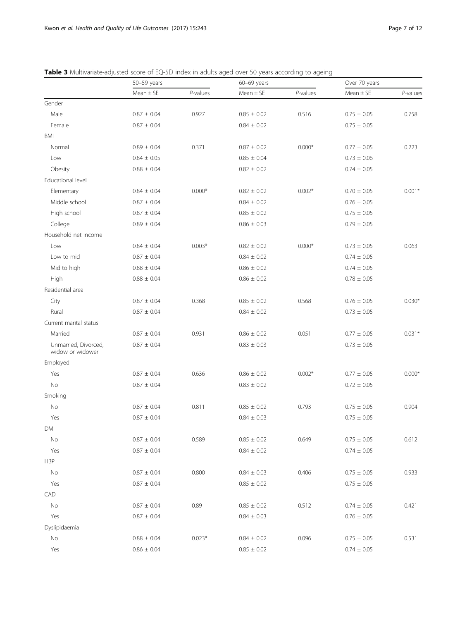|                                          | 50-59 years       |          | 60-69 years     |          | Over 70 years     |          |
|------------------------------------------|-------------------|----------|-----------------|----------|-------------------|----------|
|                                          | $Mean \pm SE$     | P-values | $Mean \pm SE$   | P-values | $Mean \pm SE$     | P-values |
| Gender                                   |                   |          |                 |          |                   |          |
| Male                                     | $0.87\,\pm\,0.04$ | 0.927    | $0.85 \pm 0.02$ | 0.516    | $0.75\,\pm\,0.05$ | 0.758    |
| Female                                   | $0.87 \pm 0.04$   |          | $0.84 \pm 0.02$ |          | $0.75 \pm 0.05$   |          |
| BMI                                      |                   |          |                 |          |                   |          |
| Normal                                   | $0.89 \pm 0.04$   | 0.371    | $0.87 \pm 0.02$ | $0.000*$ | $0.77 \pm 0.05$   | 0.223    |
| Low                                      | $0.84 \pm 0.05$   |          | $0.85 \pm 0.04$ |          | $0.73 \pm 0.06$   |          |
| Obesity                                  | $0.88 \pm 0.04$   |          | $0.82 \pm 0.02$ |          | $0.74 \pm 0.05$   |          |
| Educational level                        |                   |          |                 |          |                   |          |
| Elementary                               | $0.84 \pm 0.04$   | $0.000*$ | $0.82 \pm 0.02$ | $0.002*$ | $0.70 \pm 0.05$   | $0.001*$ |
| Middle school                            | $0.87 \pm 0.04$   |          | $0.84 \pm 0.02$ |          | $0.76 \pm 0.05$   |          |
| High school                              | $0.87 \pm 0.04$   |          | $0.85 \pm 0.02$ |          | $0.75 \pm 0.05$   |          |
| College                                  | $0.89 \pm 0.04$   |          | $0.86 \pm 0.03$ |          | $0.79 \pm 0.05$   |          |
| Household net income                     |                   |          |                 |          |                   |          |
| Low                                      | $0.84 \pm 0.04$   | $0.003*$ | $0.82 \pm 0.02$ | $0.000*$ | $0.73 \pm 0.05$   | 0.063    |
| Low to mid                               | $0.87 \pm 0.04$   |          | $0.84 \pm 0.02$ |          | $0.74 \pm 0.05$   |          |
| Mid to high                              | $0.88 \pm 0.04$   |          | $0.86 \pm 0.02$ |          | $0.74 \pm 0.05$   |          |
| High                                     | $0.88 \pm 0.04$   |          | $0.86 \pm 0.02$ |          | $0.78 \pm 0.05$   |          |
| Residential area                         |                   |          |                 |          |                   |          |
| City                                     | $0.87 \pm 0.04$   | 0.368    | $0.85 \pm 0.02$ | 0.568    | $0.76 \pm 0.05$   | $0.030*$ |
| Rural                                    | $0.87 \pm 0.04$   |          | $0.84 \pm 0.02$ |          | $0.73 \pm 0.05$   |          |
| Current marital status                   |                   |          |                 |          |                   |          |
| Married                                  | $0.87 \pm 0.04$   | 0.931    | $0.86 \pm 0.02$ | 0.051    | $0.77 \pm 0.05$   | $0.031*$ |
| Unmarried, Divorced,<br>widow or widower | $0.87 \pm 0.04$   |          | $0.83 \pm 0.03$ |          | $0.73 \pm 0.05$   |          |
| Employed                                 |                   |          |                 |          |                   |          |
| Yes                                      | $0.87 \pm 0.04$   | 0.636    | $0.86 \pm 0.02$ | $0.002*$ | $0.77 \pm 0.05$   | $0.000*$ |
| No                                       | $0.87 \pm 0.04$   |          | $0.83 \pm 0.02$ |          | $0.72 \pm 0.05$   |          |
| Smoking                                  |                   |          |                 |          |                   |          |
| No                                       | $0.87 \pm 0.04$   | 0.811    | $0.85 \pm 0.02$ | 0.793    | $0.75 \pm 0.05$   | 0.904    |
| Yes                                      | $0.87 \pm 0.04$   |          | $0.84 \pm 0.03$ |          | $0.75 \pm 0.05$   |          |
| DM                                       |                   |          |                 |          |                   |          |
| No                                       | $0.87 \pm 0.04$   | 0.589    | $0.85 \pm 0.02$ | 0.649    | $0.75 \pm 0.05$   | 0.612    |
| Yes                                      | $0.87 \pm 0.04$   |          | $0.84 \pm 0.02$ |          | $0.74 \pm 0.05$   |          |
| <b>HBP</b>                               |                   |          |                 |          |                   |          |
| $\rm No$                                 | $0.87 \pm 0.04$   | 0.800    | $0.84 \pm 0.03$ | 0.406    | $0.75 \pm 0.05$   | 0.933    |
| Yes                                      | $0.87 \pm 0.04$   |          | $0.85 \pm 0.02$ |          | $0.75 \pm 0.05$   |          |
| CAD                                      |                   |          |                 |          |                   |          |
| No                                       | $0.87 \pm 0.04$   | 0.89     | $0.85 \pm 0.02$ | 0.512    | $0.74 \pm 0.05$   | 0.421    |
| Yes                                      | $0.87 \pm 0.04$   |          | $0.84 \pm 0.03$ |          | $0.76 \pm 0.05$   |          |
| Dyslipidaemia                            |                   |          |                 |          |                   |          |
| No                                       | $0.88 \pm 0.04$   | $0.023*$ | $0.84 \pm 0.02$ | 0.096    | $0.75 \pm 0.05$   | 0.531    |
| Yes                                      | $0.86\,\pm\,0.04$ |          | $0.85 \pm 0.02$ |          | $0.74 \pm 0.05$   |          |

<span id="page-6-0"></span>Table 3 Multivariate-adjusted score of EQ-5D index in adults aged over 50 years according to ageing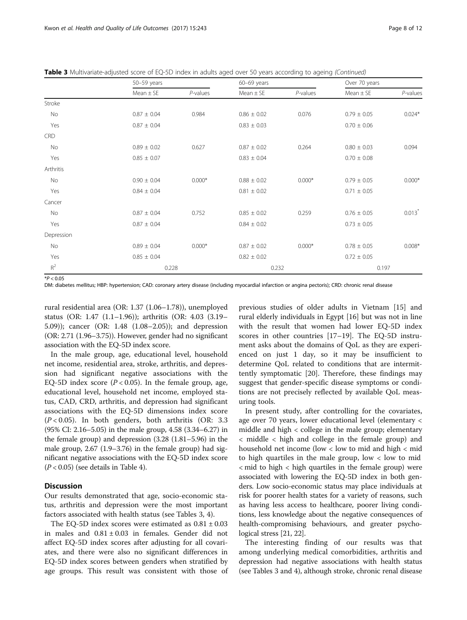Table 3 Multivariate-adjusted score of EQ-5D index in adults aged over 50 years according to ageing (Continued)

|            | $50 - 59$ years |             |                 |             | Over 70 years   |                      |
|------------|-----------------|-------------|-----------------|-------------|-----------------|----------------------|
|            | $Mean \pm SE$   | $P$ -values | $Mean \pm SE$   | $P$ -values | $Mean \pm SE$   | P-values             |
| Stroke     |                 |             |                 |             |                 |                      |
| No         | $0.87 \pm 0.04$ | 0.984       | $0.86 \pm 0.02$ | 0.076       | $0.79 \pm 0.05$ | $0.024*$             |
| Yes        | $0.87 \pm 0.04$ |             | $0.83 \pm 0.03$ |             | $0.70 \pm 0.06$ |                      |
| <b>CRD</b> |                 |             |                 |             |                 |                      |
| No         | $0.89 \pm 0.02$ | 0.627       | $0.87 \pm 0.02$ | 0.264       | $0.80 \pm 0.03$ | 0.094                |
| Yes        | $0.85 \pm 0.07$ |             | $0.83 \pm 0.04$ |             | $0.70 \pm 0.08$ |                      |
| Arthritis  |                 |             |                 |             |                 |                      |
| No         | $0.90 \pm 0.04$ | $0.000*$    | $0.88 \pm 0.02$ | $0.000*$    | $0.79 \pm 0.05$ | $0.000*$             |
| Yes        | $0.84 \pm 0.04$ |             | $0.81 \pm 0.02$ |             | $0.71 \pm 0.05$ |                      |
| Cancer     |                 |             |                 |             |                 |                      |
| No         | $0.87 \pm 0.04$ | 0.752       | $0.85 \pm 0.02$ | 0.259       | $0.76 \pm 0.05$ | $0.013$ <sup>*</sup> |
| Yes        | $0.87 \pm 0.04$ |             | $0.84 \pm 0.02$ |             | $0.73 \pm 0.05$ |                      |
| Depression |                 |             |                 |             |                 |                      |
| No         | $0.89 \pm 0.04$ | $0.000*$    | $0.87 \pm 0.02$ | $0.000*$    | $0.78 \pm 0.05$ | $0.008*$             |
| Yes        | $0.85 \pm 0.04$ |             | $0.82 \pm 0.02$ |             | $0.72 \pm 0.05$ |                      |
| $R^2$      | 0.228           |             | 0.232           |             | 0.197           |                      |

 $*P < 0.05$ 

DM: diabetes mellitus; HBP: hypertension; CAD: coronary artery disease (including myocardial infarction or angina pectoris); CRD: chronic renal disease

rural residential area (OR: 1.37 (1.06–1.78)), unemployed status (OR: 1.47 (1.1–1.96)); arthritis (OR: 4.03 (3.19– 5.09)); cancer (OR: 1.48 (1.08–2.05)); and depression (OR: 2.71 (1.96–3.75)). However, gender had no significant association with the EQ-5D index score.

In the male group, age, educational level, household net income, residential area, stroke, arthritis, and depression had significant negative associations with the EQ-5D index score  $(P < 0.05)$ . In the female group, age, educational level, household net income, employed status, CAD, CRD, arthritis, and depression had significant associations with the EQ-5D dimensions index score  $(P < 0.05)$ . In both genders, both arthritis (OR: 3.3) (95% CI: 2.16–5.05) in the male group, 4.58 (3.34–6.27) in the female group) and depression (3.28 (1.81–5.96) in the male group, 2.67 (1.9–3.76) in the female group) had significant negative associations with the EQ-5D index score  $(P < 0.05)$  (see details in Table [4](#page-8-0)).

# **Discussion**

Our results demonstrated that age, socio-economic status, arthritis and depression were the most important factors associated with health status (see Tables [3,](#page-6-0) [4\)](#page-8-0).

The EQ-5D index scores were estimated as  $0.81 \pm 0.03$ in males and  $0.81 \pm 0.03$  in females. Gender did not affect EQ-5D index scores after adjusting for all covariates, and there were also no significant differences in EQ-5D index scores between genders when stratified by age groups. This result was consistent with those of

previous studies of older adults in Vietnam [\[15\]](#page-11-0) and rural elderly individuals in Egypt [\[16\]](#page-11-0) but was not in line with the result that women had lower EQ-5D index scores in other countries [\[17](#page-11-0)–[19\]](#page-11-0). The EQ-5D instrument asks about the domains of QoL as they are experienced on just 1 day, so it may be insufficient to determine QoL related to conditions that are intermittently symptomatic [[20](#page-11-0)]. Therefore, these findings may suggest that gender-specific disease symptoms or conditions are not precisely reflected by available QoL measuring tools.

In present study, after controlling for the covariates, age over 70 years, lower educational level (elementary < middle and high < college in the male group; elementary < middle < high and college in the female group) and household net income (low < low to mid and high < mid to high quartiles in the male group, low  $\lt$  low to mid < mid to high < high quartiles in the female group) were associated with lowering the EQ-5D index in both genders. Low socio-economic status may place individuals at risk for poorer health states for a variety of reasons, such as having less access to healthcare, poorer living conditions, less knowledge about the negative consequences of health-compromising behaviours, and greater psychological stress [[21](#page-11-0), [22\]](#page-11-0).

The interesting finding of our results was that among underlying medical comorbidities, arthritis and depression had negative associations with health status (see Tables [3](#page-6-0) and [4](#page-8-0)), although stroke, chronic renal disease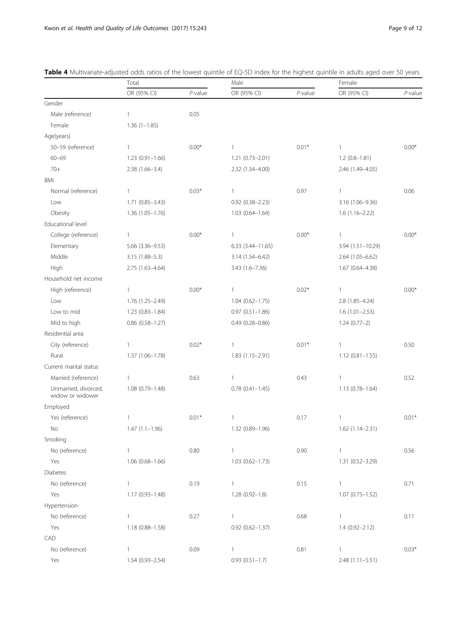|                                          | Total                  |            | Male                   |            | Female              |            |
|------------------------------------------|------------------------|------------|------------------------|------------|---------------------|------------|
|                                          | OR (95% CI)            | $P$ -value | OR (95% CI)            | $P$ -value | OR (95% CI)         | $P$ -value |
| Gender                                   |                        |            |                        |            |                     |            |
| Male (reference)                         | $\mathbf{1}$           | 0.05       |                        |            |                     |            |
| Female                                   | $1.36(1-1.85)$         |            |                        |            |                     |            |
| Age(years)                               |                        |            |                        |            |                     |            |
| 50-59 (reference)                        | $\mathbf{1}$           | $0.00*$    | $\mathbf{1}$           | $0.01*$    | $\mathbf{1}$        | $0.00*$    |
| $60 - 69$                                | $1.23(0.91 - 1.66)$    |            | 1.21 (0.73-2.01)       |            | $1.2(0.8-1.81)$     |            |
| $70+$                                    | 2.38 (1.66-3.4)        |            | 2.32 (1.34-4.00)       |            | 2.46 (1.49-4.05)    |            |
| BMI                                      |                        |            |                        |            |                     |            |
| Normal (reference)                       | $\mathbf{1}$           | $0.03*$    | 1                      | 0.97       | 1                   | 0.06       |
| Low                                      | $1.71(0.85 - 3.43)$    |            | $0.92(0.38 - 2.23)$    |            | 3.16 (1.06-9.36)    |            |
| Obesity                                  | $1.36(1.05 - 1.76)$    |            | $1.03(0.64 - 1.64)$    |            | $1.6(1.16 - 2.22)$  |            |
| Educational level                        |                        |            |                        |            |                     |            |
| College (reference)                      | 1                      | $0.00*$    | 1                      | $0.00*$    | 1                   | $0.00*$    |
| Elementary                               | 5.66 (3.36-9.53)       |            | $6.33(3.44 - 11.65)$   |            | 3.94 (1.51-10.29)   |            |
| Middle                                   | 3.15 (1.88-5.3)        |            | 3.14 (1.54-6.42)       |            | 2.64 (1.05-6.62)    |            |
| High                                     | 2.75 (1.63-4.64)       |            | 3.43 (1.6-7.36)        |            | 1.67 (0.64-4.38)    |            |
| Household net income                     |                        |            |                        |            |                     |            |
| High (reference)                         | $\mathbf{1}$           | $0.00*$    | 1                      | $0.02*$    | 1                   | $0.00*$    |
| Low                                      | 1.76 (1.25-2.49)       |            | $1.04(0.62 - 1.75)$    |            | $2.8(1.85 - 4.24)$  |            |
| Low to mid                               | 1.23 (0.83-1.84)       |            | $0.97(0.51 - 1.86)$    |            | $1.6(1.01 - 2.53)$  |            |
| Mid to high                              | $0.86$ $(0.58 - 1.27)$ |            | $0.49(0.28 - 0.86)$    |            | $1.24(0.77-2)$      |            |
| Residential area                         |                        |            |                        |            |                     |            |
| City (reference)                         | $\mathbf{1}$           | $0.02*$    | $\mathbf{1}$           | $0.01*$    | $\mathbf{1}$        | 0.50       |
| Rural                                    | 1.37 (1.06-1.78)       |            | $1.83(1.15 - 2.91)$    |            | $1.12(0.81 - 1.55)$ |            |
| Current marital status                   |                        |            |                        |            |                     |            |
| Married (reference)                      | $\mathbf{1}$           | 0.63       | $\mathbf{1}$           | 0.43       | $\mathbf{1}$        | 0.52       |
| Unmarried, divorced,<br>widow or widower | $1.08(0.79 - 1.48)$    |            | $0.78$ $(0.41 - 1.45)$ |            | 1.13 (0.78-1.64)    |            |
| Employed                                 |                        |            |                        |            |                     |            |
| Yes (reference)                          | 1                      | $0.01*$    | $\mathbf{1}$           | 0.17       | 1                   | $0.01*$    |
| No.                                      | $1.47(1.1-1.96)$       |            | 1.32 (0.89-1.96)       |            | 1.62 (1.14-2.31)    |            |
| Smoking                                  |                        |            |                        |            |                     |            |
| No (reference)                           | $\mathbf{1}$           | 0.80       | $\mathbf{1}$           | 0.90       | $\mathbf{1}$        | 0.56       |
| Yes                                      | $1.06(0.68 - 1.66)$    |            | $1.03(0.62 - 1.73)$    |            | 1.31 (0.52-3.29)    |            |
| <b>Diabetes</b>                          |                        |            |                        |            |                     |            |
| No (reference)                           | $\mathbf{1}$           | 0.19       | $\mathbf{1}$           | 0.15       | 1                   | 0.71       |
| Yes                                      | 1.17 (0.93-1.48)       |            | $1.28(0.92 - 1.8)$     |            | $1.07(0.75 - 1.52)$ |            |
| Hypertension                             |                        |            |                        |            |                     |            |
| No (reference)                           | $\mathbf{1}$           | 0.27       | $\mathbf{1}$           | 0.68       | $\mathbf{1}$        | 0.11       |
| Yes                                      | 1.18 (0.88-1.58)       |            | $0.92$ $(0.62 - 1.37)$ |            | $1.4(0.92 - 2.12)$  |            |
| CAD                                      |                        |            |                        |            |                     |            |
| No (reference)                           | $\mathbf{1}$           | 0.09       | $\mathbf{1}$           | 0.81       | 1                   | $0.03*$    |
| Yes                                      | 1.54 (0.93-2.54)       |            | $0.93(0.51 - 1.7)$     |            | 2.48 (1.11-5.51)    |            |

<span id="page-8-0"></span>

| <b>Table 4</b> Multivariate-adjusted odds ratios of the lowest quintile of EQ-5D index for the highest quintile in adults aged over 50 years |  |  |  |
|----------------------------------------------------------------------------------------------------------------------------------------------|--|--|--|
|                                                                                                                                              |  |  |  |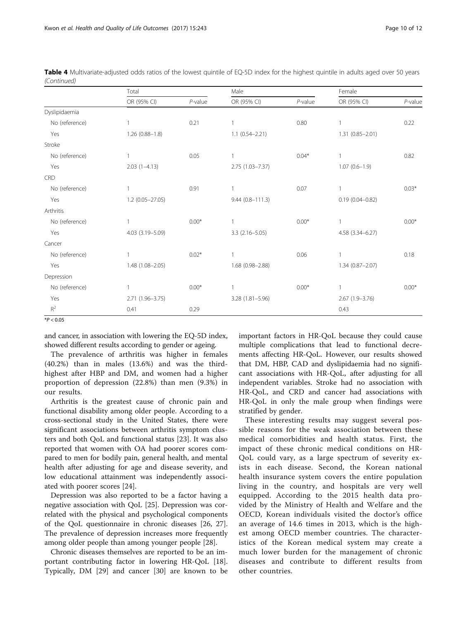|                | Total               |            | Male                |            | Female              |            |
|----------------|---------------------|------------|---------------------|------------|---------------------|------------|
|                | OR (95% CI)         | $P$ -value | OR (95% CI)         | $P$ -value | OR (95% CI)         | $P$ -value |
| Dyslipidaemia  |                     |            |                     |            |                     |            |
| No (reference) |                     | 0.21       |                     | 0.80       |                     | 0.22       |
| Yes            | $1.26(0.88 - 1.8)$  |            | $1.1 (0.54 - 2.21)$ |            | 1.31 (0.85-2.01)    |            |
| Stroke         |                     |            |                     |            |                     |            |
| No (reference) | $\overline{1}$      | 0.05       | 1                   | $0.04*$    |                     | 0.82       |
| Yes            | $2.03(1-4.13)$      |            | $2.75(1.03 - 7.37)$ |            | $1.07(0.6 - 1.9)$   |            |
| CRD            |                     |            |                     |            |                     |            |
| No (reference) |                     | 0.91       |                     | 0.07       |                     | $0.03*$    |
| Yes            | $1.2(0.05 - 27.05)$ |            | $9.44(0.8 - 111.3)$ |            | $0.19(0.04 - 0.82)$ |            |
| Arthritis      |                     |            |                     |            |                     |            |
| No (reference) |                     | $0.00*$    |                     | $0.00*$    |                     | $0.00*$    |
| Yes            | 4.03 (3.19-5.09)    |            | $3.3(2.16 - 5.05)$  |            | 4.58 (3.34-6.27)    |            |
| Cancer         |                     |            |                     |            |                     |            |
| No (reference) |                     | $0.02*$    | 1                   | 0.06       |                     | 0.18       |
| Yes            | 1.48 (1.08-2.05)    |            | 1.68 (0.98-2.88)    |            | $1.34(0.87 - 2.07)$ |            |
| Depression     |                     |            |                     |            |                     |            |
| No (reference) |                     | $0.00*$    | 1                   | $0.00*$    |                     | $0.00*$    |
| Yes            | 2.71 (1.96-3.75)    |            | $3.28(1.81 - 5.96)$ |            | $2.67(1.9-3.76)$    |            |
| $R^2$          | 0.41                | 0.29       |                     |            | 0.43                |            |

|             | Table 4 Multivariate-adjusted odds ratios of the lowest quintile of EQ-5D index for the highest quintile in adults aged over 50 years |  |  |  |  |  |
|-------------|---------------------------------------------------------------------------------------------------------------------------------------|--|--|--|--|--|
| (Continued) |                                                                                                                                       |  |  |  |  |  |

 $*P < 0.05$ 

and cancer, in association with lowering the EQ-5D index, showed different results according to gender or ageing.

The prevalence of arthritis was higher in females (40.2%) than in males (13.6%) and was the thirdhighest after HBP and DM, and women had a higher proportion of depression (22.8%) than men (9.3%) in our results.

Arthritis is the greatest cause of chronic pain and functional disability among older people. According to a cross-sectional study in the United States, there were significant associations between arthritis symptom clusters and both QoL and functional status [[23\]](#page-11-0). It was also reported that women with OA had poorer scores compared to men for bodily pain, general health, and mental health after adjusting for age and disease severity, and low educational attainment was independently associated with poorer scores [\[24\]](#page-11-0).

Depression was also reported to be a factor having a negative association with QoL [[25\]](#page-11-0). Depression was correlated with the physical and psychological components of the QoL questionnaire in chronic diseases [[26, 27](#page-11-0)]. The prevalence of depression increases more frequently among older people than among younger people [\[28\]](#page-11-0).

Chronic diseases themselves are reported to be an important contributing factor in lowering HR-QoL [\[18](#page-11-0)]. Typically, DM [[29](#page-11-0)] and cancer [[30\]](#page-11-0) are known to be important factors in HR-QoL because they could cause multiple complications that lead to functional decrements affecting HR-QoL. However, our results showed that DM, HBP, CAD and dyslipidaemia had no significant associations with HR-QoL, after adjusting for all independent variables. Stroke had no association with HR-QoL, and CRD and cancer had associations with HR-QoL in only the male group when findings were stratified by gender.

These interesting results may suggest several possible reasons for the weak association between these medical comorbidities and health status. First, the impact of these chronic medical conditions on HR-QoL could vary, as a large spectrum of severity exists in each disease. Second, the Korean national health insurance system covers the entire population living in the country, and hospitals are very well equipped. According to the 2015 health data provided by the Ministry of Health and Welfare and the OECD, Korean individuals visited the doctor's office an average of 14.6 times in 2013, which is the highest among OECD member countries. The characteristics of the Korean medical system may create a much lower burden for the management of chronic diseases and contribute to different results from other countries.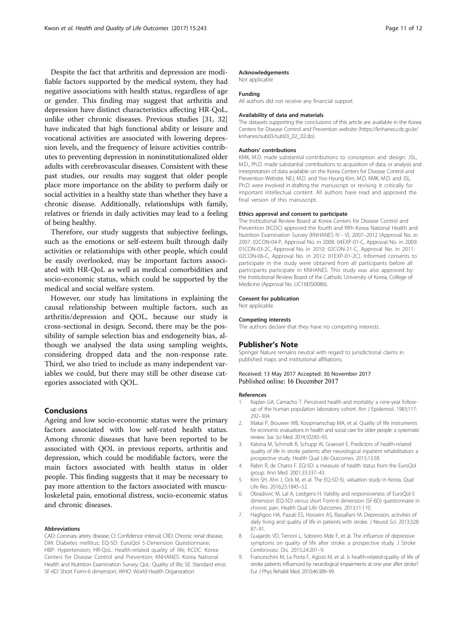<span id="page-10-0"></span>Despite the fact that arthritis and depression are modifiable factors supported by the medical system, they had negative associations with health status, regardless of age or gender. This finding may suggest that arthritis and depression have distinct characteristics affecting HR-QoL, unlike other chronic diseases. Previous studies [\[31, 32](#page-11-0)] have indicated that high functional ability or leisure and vocational activities are associated with lowering depression levels, and the frequency of leisure activities contributes to preventing depression in noninstitutionalized older adults with cerebrovascular diseases. Consistent with these past studies, our results may suggest that older people place more importance on the ability to perform daily or social activities in a healthy state than whether they have a chronic disease. Additionally, relationships with family, relatives or friends in daily activities may lead to a feeling of being healthy.

Therefore, our study suggests that subjective feelings, such as the emotions or self-esteem built through daily activities or relationships with other people, which could be easily overlooked, may be important factors associated with HR-QoL as well as medical comorbidities and socio-economic status, which could be supported by the medical and social welfare system.

However, our study has limitations in explaining the causal relationship between multiple factors, such as arthritis/depression and QOL, because our study is cross-sectional in design. Second, there may be the possibility of sample selection bias and endogeneity bias, although we analysed the data using sampling weights, considering dropped data and the non-response rate. Third, we also tried to include as many independent variables we could, but there may still be other disease categories associated with QOL.

# Conclusions

Ageing and low socio-economic status were the primary factors associated with low self-rated health status. Among chronic diseases that have been reported to be associated with QOL in previous reports, arthritis and depression, which could be modifiable factors, were the main factors associated with health status in older people. This finding suggests that it may be necessary to pay more attention to the factors associated with musculoskeletal pain, emotional distress, socio-economic status and chronic diseases.

#### Abbreviations

CAD: Coronary artery disease; CI: Confidence interval; CRD: Chronic renal disease; DM: Diabetes mellitus; EQ-5D: EuroQol 5-Dimension Questionnaire; HBP: Hypertension; HR-QoL: Health-related quality of life; KCDC: Korea Centers for Disease Control and Prevention; KNHANES: Korea National Health and Nutrition Examination Survey; QoL: Quality of life; SE: Standard error; SF-6D: Short Form-6 dimension; WHO: World Health Organization

# Acknowledgements

Not applicable

# Funding

All authors did not receive any financial support.

#### Availability of data and materials

The datasets supporting the conclusions of this article are available in the Korea Centers for Disease Control and Prevention website [\(https://knhanes.cdc.go.kr/](https://knhanes.cdc.go.kr/knhanes/sub03/sub03_02_02.do) [knhanes/sub03/sub03\\_02\\_02.do](https://knhanes.cdc.go.kr/knhanes/sub03/sub03_02_02.do)).

# Authors' contributions

KMK, M.D. made substantial contributions to conception and design. JSL, M.D., Ph.D. made substantial contributions to acquisition of data, or analysis and interpretation of data available on the Korea Centers for Disease Control and Prevention Website. NEJ, M.D. and Yeo Hyung Kim, M.D. KMK, M.D. and JSL, Ph.D. were involved in drafting the manuscript or revising it critically for important intellectual content. All authors have read and approved the final version of this manuscript.

#### Ethics approval and consent to participate

The Institutional Review Board at Korea Centers for Disease Control and Prevention (KCDC) approved the fourth and fifth Korea National Health and Nutrition Examination Survey (KNHANES IV - V), 2007–2012 (Approval No. in 2007: 02CON-04-P, Approval No. in 2008: 04EXP-01-C, Approval No. in 2009: 01CON-03-2C, Approval No. in 2010: 02CON-21-C, Approval No. in 2011: 02CON-06-C, Approval No. in 2012: 01EXP-01-2C). Informed consents to participate in the study were obtained from all participants before all participants participate in KNHANES. This study was also approved by the Institutional Review Board of the Catholic University of Korea, College of Medicine (Approval No. UC16EISI0086).

#### Consent for publication

Not applicable

#### Competing interests

The authors declare that they have no competing interests.

### Publisher's Note

Springer Nature remains neutral with regard to jurisdictional claims in published maps and institutional affiliations.

# Received: 13 May 2017 Accepted: 30 November 2017 Published online: 16 December 2017

### References

- 1. Kaplan GA, Camacho T. Perceived health and mortality: a nine-year followup of the human population laboratory cohort. Am J Epidemiol. 1983;117: 292–304.
- 2. Makai P, Brouwer WB, Koopmanschap MA, et al. Quality of life instruments for economic evaluations in health and social care for older people: a systematic review. Soc Sci Med. 2014;102:83–93.
- 3. Katona M, Schmidt R, Schupp W, Graessel E. Predictors of health-related quality of life in stroke patients after neurological inpatient rehabilitation: a prospective study. Health Qual Life Outcomes. 2015;13:58.
- Rabin R, de Charro F. EQ-5D: a measure of health status from the EuroQol group. Ann Med. 2001;33:337–43.
- 5. Kim SH, Ahn J, Ock M, et al. The EQ-5D-5L valuation study in Korea. Qual Life Res. 2016;25:1845–52.
- 6. Obradovic M, Lal A, Liedgens H. Validity and responsiveness of EuroQol-5 dimension (EQ-5D) versus short Form-6 dimension (SF-6D) questionnaire in chronic pain. Health Qual Life Outcomes. 2013;11:110.
- 7. Haghgoo HA, Pazuki ES, Hosseini AS, Rassafiani M. Depression, activities of daily living and quality of life in patients with stroke. J Neurol Sci. 2013;328: 87–91.
- 8. Guajardo VD, Terroni L, Sobreiro Mde F, et al. The influence of depressive symptoms on quality of life after stroke: a prospective study. J Stroke Cerebrovasc Dis. 2015;24:201–9.
- 9. Franceschini M, La Porta F, Agosti M, et al. Is health-related-quality of life of stroke patients influenced by neurological impairments at one year after stroke? Eur J Phys Rehabil Med. 2010;46:389–99.